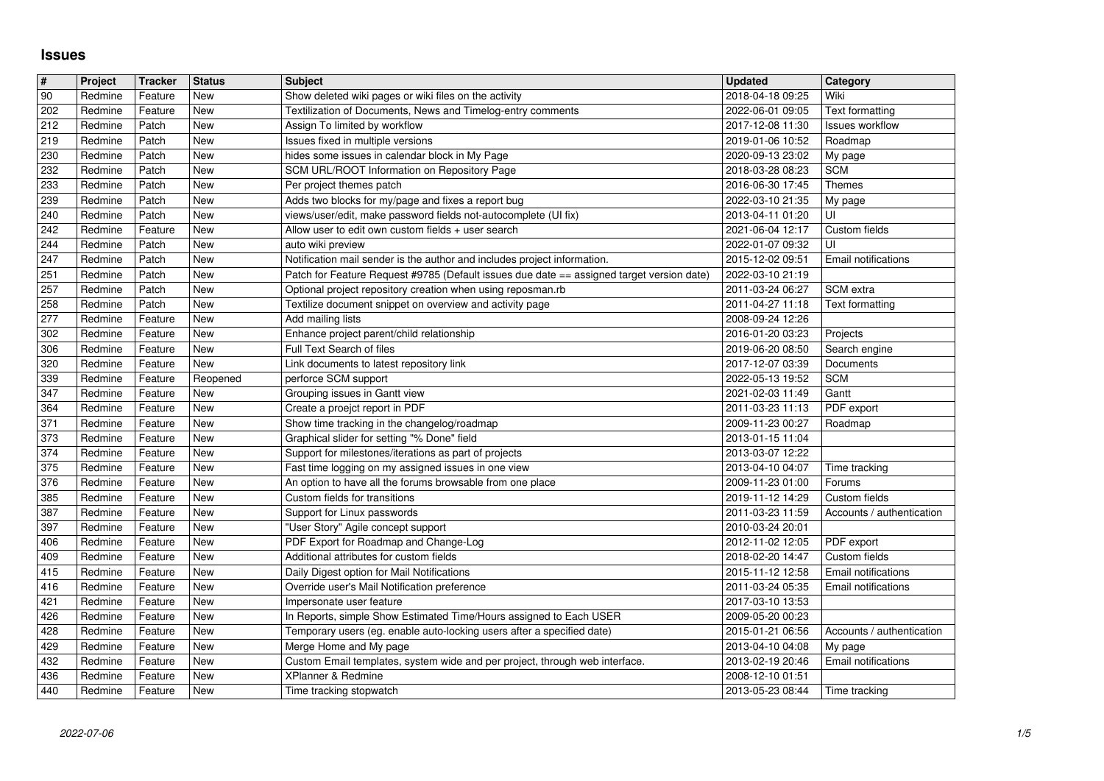## **Issues**

| $\overline{\boldsymbol{H}}$ | Project            | <b>Tracker</b>     | <b>Status</b> | <b>Subject</b>                                                                                | <b>Updated</b>                       | Category                    |
|-----------------------------|--------------------|--------------------|---------------|-----------------------------------------------------------------------------------------------|--------------------------------------|-----------------------------|
| 90                          | Redmine            | Feature            | New           | Show deleted wiki pages or wiki files on the activity                                         | 2018-04-18 09:25                     | Wiki                        |
| 202                         | Redmine            | Feature            | New           | Textilization of Documents, News and Timelog-entry comments                                   | 2022-06-01 09:05                     | Text formatting             |
| 212                         | Redmine            | Patch              | New           | Assign To limited by workflow                                                                 | 2017-12-08 11:30                     | Issues workflow             |
| 219                         | Redmine            | Patch              | New           | Issues fixed in multiple versions                                                             | 2019-01-06 10:52                     | Roadmap                     |
| 230                         | Redmine            | Patch<br>Patch     | New<br>New    | hides some issues in calendar block in My Page<br>SCM URL/ROOT Information on Repository Page | 2020-09-13 23:02                     | My page                     |
| 232<br>233                  | Redmine<br>Redmine | Patch              | New           | Per project themes patch                                                                      | 2018-03-28 08:23<br>2016-06-30 17:45 | <b>SCM</b><br><b>Themes</b> |
| 239                         | Redmine            | Patch              | New           | Adds two blocks for my/page and fixes a report bug                                            | 2022-03-10 21:35                     | My page                     |
| 240                         | Redmine            | Patch              | New           | views/user/edit, make password fields not-autocomplete (UI fix)                               | 2013-04-11 01:20                     | UI                          |
| 242                         | Redmine            | Feature            | New           | Allow user to edit own custom fields $+$ user search                                          | 2021-06-04 12:17                     | Custom fields               |
| 244                         | Redmine            | Patch              | New           | auto wiki preview                                                                             | 2022-01-07 09:32                     | UI                          |
| 247                         | Redmine            | Patch              | New           | Notification mail sender is the author and includes project information.                      | 2015-12-02 09:51                     | <b>Email notifications</b>  |
| 251                         | Redmine            | Patch              | New           | Patch for Feature Request #9785 (Default issues due date == assigned target version date)     | 2022-03-10 21:19                     |                             |
| 257                         | Redmine            | Patch              | New           | Optional project repository creation when using reposman.rb                                   | 2011-03-24 06:27                     | SCM extra                   |
| 258                         | Redmine            | Patch              | New           | Textilize document snippet on overview and activity page                                      | 2011-04-27 11:18                     | <b>Text formatting</b>      |
| 277                         | Redmine            | Feature            | New           | Add mailing lists                                                                             | 2008-09-24 12:26                     |                             |
| 302<br>306                  | Redmine<br>Redmine | Feature<br>Feature | New<br>New    | Enhance project parent/child relationship<br>Full Text Search of files                        | 2016-01-20 03:23<br>2019-06-20 08:50 | Projects<br>Search engine   |
| 320                         | Redmine            | Feature            | New           | Link documents to latest repository link                                                      | 2017-12-07 03:39                     | Documents                   |
| 339                         | Redmine            | Feature            | Reopened      | perforce SCM support                                                                          | 2022-05-13 19:52                     | <b>SCM</b>                  |
| 347                         | Redmine            | Feature            | New           | Grouping issues in Gantt view                                                                 | 2021-02-03 11:49                     | Gantt                       |
| 364                         | Redmine            | Feature            | New           | Create a proejct report in PDF                                                                | 2011-03-23 11:13                     | PDF export                  |
| 371                         | Redmine            | Feature            | New           | Show time tracking in the changelog/roadmap                                                   | 2009-11-23 00:27                     | Roadmap                     |
| 373                         | Redmine            | Feature            | New           | Graphical slider for setting "% Done" field                                                   | 2013-01-15 11:04                     |                             |
| 374                         | Redmine            | Feature            | New           | Support for milestones/iterations as part of projects                                         | 2013-03-07 12:22                     |                             |
| 375                         | Redmine            | Feature            | New           | Fast time logging on my assigned issues in one view                                           | 2013-04-10 04:07                     | Time tracking               |
| 376                         | Redmine            | Feature            | New           | An option to have all the forums browsable from one place                                     | 2009-11-23 01:00                     | Forums                      |
| 385                         | Redmine            | Feature            | New           | Custom fields for transitions                                                                 | 2019-11-12 14:29                     | Custom fields               |
| 387                         | Redmine            | Feature            | New           | Support for Linux passwords                                                                   | 2011-03-23 11:59                     | Accounts / authentication   |
| 397                         | Redmine            | Feature            | New           | "User Story" Agile concept support                                                            | 2010-03-24 20:01                     |                             |
| 406                         | Redmine            | Feature            | New<br>New    | PDF Export for Roadmap and Change-Log<br>Additional attributes for custom fields              | 2012-11-02 12:05                     | PDF export<br>Custom fields |
| 409<br>415                  | Redmine<br>Redmine | Feature<br>Feature | New           | Daily Digest option for Mail Notifications                                                    | 2018-02-20 14:47<br>2015-11-12 12:58 | Email notifications         |
| 416                         | Redmine            | Feature            | New           | Override user's Mail Notification preference                                                  | 2011-03-24 05:35                     | Email notifications         |
| 421                         | Redmine            | Feature            | New           | Impersonate user feature                                                                      | 2017-03-10 13:53                     |                             |
| 426                         | Redmine            | Feature            | New           | In Reports, simple Show Estimated Time/Hours assigned to Each USER                            | 2009-05-20 00:23                     |                             |
| 428                         | Redmine            | Feature            | New           | Temporary users (eg. enable auto-locking users after a specified date)                        | 2015-01-21 06:56                     | Accounts / authentication   |
| 429                         | Redmine            | Feature            | New           | Merge Home and My page                                                                        | 2013-04-10 04:08                     | My page                     |
| 432                         | Redmine            | Feature            | New           | Custom Email templates, system wide and per project, through web interface.                   | 2013-02-19 20:46 Email notifications |                             |
| 436                         | Redmine            | Feature            | <b>New</b>    | XPlanner & Redmine                                                                            | 2008-12-10 01:51                     |                             |
|                             |                    |                    |               |                                                                                               |                                      |                             |
|                             |                    |                    |               |                                                                                               |                                      |                             |
|                             |                    |                    |               |                                                                                               |                                      |                             |
|                             |                    |                    |               |                                                                                               |                                      |                             |
|                             |                    |                    |               |                                                                                               |                                      |                             |
|                             |                    |                    |               |                                                                                               |                                      |                             |
|                             |                    |                    |               |                                                                                               |                                      |                             |
|                             |                    |                    |               |                                                                                               |                                      |                             |
|                             |                    |                    |               |                                                                                               |                                      |                             |
|                             |                    |                    |               |                                                                                               |                                      |                             |
|                             |                    |                    |               |                                                                                               |                                      |                             |
|                             |                    |                    |               |                                                                                               |                                      |                             |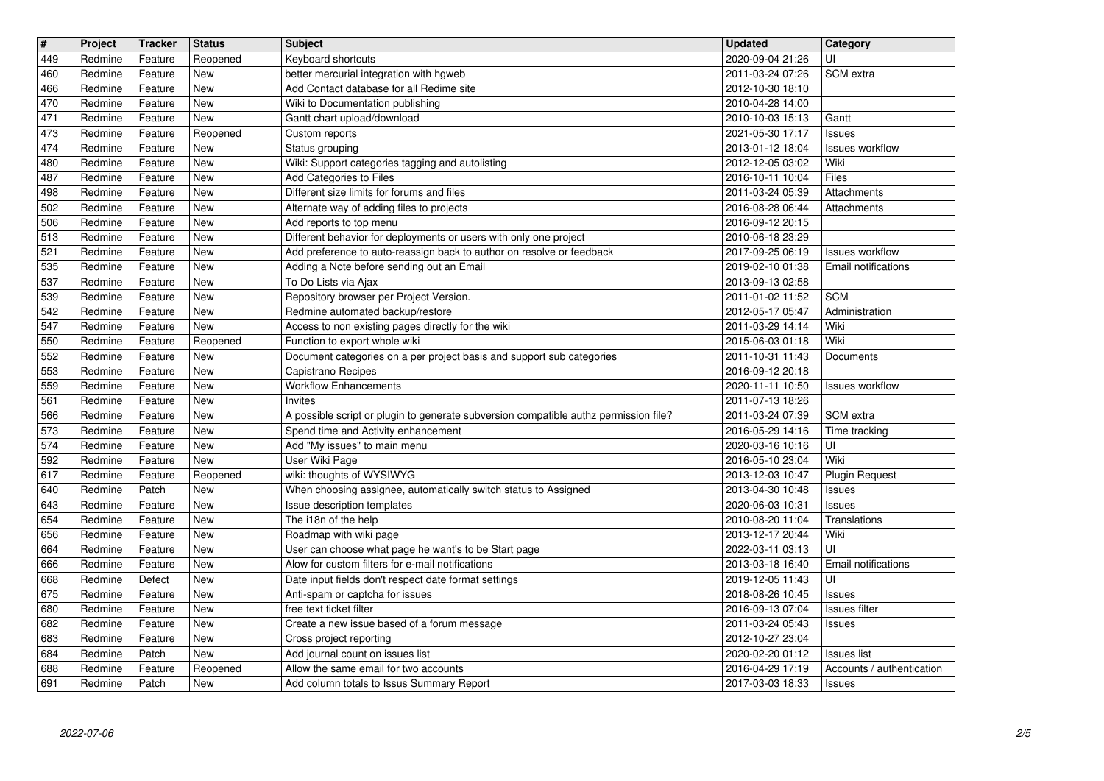| $\overline{\mathbf{H}}$ | Project            | <b>Tracker</b>     | <b>Status</b>            | <b>Subject</b>                                                                                           | <b>Updated</b>                       | Category                                        |
|-------------------------|--------------------|--------------------|--------------------------|----------------------------------------------------------------------------------------------------------|--------------------------------------|-------------------------------------------------|
| 449<br>460              | Redmine<br>Redmine | Feature<br>Feature | Reopened<br>New          | Keyboard shortcuts<br>better mercurial integration with hgweb                                            | 2020-09-04 21:26<br>2011-03-24 07:26 | UI<br>SCM extra                                 |
| 466                     | Redmine            | Feature            | <b>New</b>               | Add Contact database for all Redime site                                                                 | 2012-10-30 18:10                     |                                                 |
| 470<br>471              | Redmine<br>Redmine | Feature<br>Feature | <b>New</b><br>New        | Wiki to Documentation publishing<br>Gantt chart upload/download                                          | 2010-04-28 14:00<br>2010-10-03 15:13 | Gantt                                           |
| 473                     | Redmine            | Feature            | Reopened                 | Custom reports                                                                                           | 2021-05-30 17:17                     | Issues                                          |
| 474                     | Redmine            | Feature            | New                      | Status grouping                                                                                          | 2013-01-12 18:04                     | <b>Issues workflow</b>                          |
| 480<br>487              | Redmine<br>Redmine | Feature<br>Feature | New<br><b>New</b>        | Wiki: Support categories tagging and autolisting<br>Add Categories to Files                              | 2012-12-05 03:02<br>2016-10-11 10:04 | Wiki<br>Files                                   |
| 498                     | Redmine            | Feature            | New                      | Different size limits for forums and files                                                               | 2011-03-24 05:39                     | Attachments                                     |
| 502                     | Redmine            | Feature            | <b>New</b>               | Alternate way of adding files to projects                                                                | 2016-08-28 06:44                     | Attachments                                     |
| 506<br>513              | Redmine<br>Redmine | Feature<br>Feature | <b>New</b><br><b>New</b> | Add reports to top menu<br>Different behavior for deployments or users with only one project             | 2016-09-12 20:15<br>2010-06-18 23:29 |                                                 |
| 521                     | Redmine            | Feature            | <b>New</b>               | Add preference to auto-reassign back to author on resolve or feedback                                    | 2017-09-25 06:19                     | Issues workflow                                 |
| 535<br>537              | Redmine<br>Redmine | Feature<br>Feature | New<br>New               | Adding a Note before sending out an Email<br>To Do Lists via Ajax                                        | 2019-02-10 01:38<br>2013-09-13 02:58 | Email notifications                             |
| 539                     | Redmine            | Feature            | New                      | Repository browser per Project Version.                                                                  | 2011-01-02 11:52                     | <b>SCM</b>                                      |
| 542                     | Redmine            | Feature            | <b>New</b>               | Redmine automated backup/restore                                                                         | 2012-05-17 05:47                     | Administration                                  |
| 547<br>550              | Redmine<br>Redmine | Feature<br>Feature | New<br>Reopened          | Access to non existing pages directly for the wiki<br>Function to export whole wiki                      | 2011-03-29 14:14<br>2015-06-03 01:18 | Wiki<br>Wiki                                    |
| 552                     | Redmine            | Feature            | <b>New</b>               | Document categories on a per project basis and support sub categories                                    | 2011-10-31 11:43                     | Documents                                       |
| 553                     | Redmine            | Feature            | <b>New</b>               | Capistrano Recipes                                                                                       | 2016-09-12 20:18                     |                                                 |
| 559<br>561              | Redmine<br>Redmine | Feature<br>Feature | New<br><b>New</b>        | <b>Workflow Enhancements</b><br>Invites                                                                  | 2020-11-11 10:50<br>2011-07-13 18:26 | Issues workflow                                 |
| 566                     | Redmine            | Feature            | New                      | A possible script or plugin to generate subversion compatible authz permission file?                     | 2011-03-24 07:39                     | <b>SCM</b> extra                                |
| 573                     | Redmine            | Feature            | New<br><b>New</b>        | Spend time and Activity enhancement                                                                      | 2016-05-29 14:16                     | Time tracking                                   |
| 574<br>592              | Redmine<br>Redmine | Feature<br>Feature | New                      | Add "My issues" to main menu<br>User Wiki Page                                                           | 2020-03-16 10:16<br>2016-05-10 23:04 | UI<br>Wiki                                      |
| 617                     | Redmine            | Feature            | Reopened                 | wiki: thoughts of WYSIWYG                                                                                | 2013-12-03 10:47                     | <b>Plugin Request</b>                           |
| 640<br>643              | Redmine<br>Redmine | Patch<br>Feature   | <b>New</b><br><b>New</b> | When choosing assignee, automatically switch status to Assigned<br>Issue description templates           | 2013-04-30 10:48<br>2020-06-03 10:31 | <b>Issues</b><br>Issues                         |
| 654                     | Redmine            | Feature            | New                      | The i18n of the help                                                                                     | 2010-08-20 11:04                     | Translations                                    |
| 656                     | Redmine            | Feature            | New                      | Roadmap with wiki page                                                                                   | 2013-12-17 20:44                     | Wiki                                            |
| 664<br>666              | Redmine<br>Redmine | Feature<br>Feature | <b>New</b><br>New        | User can choose what page he want's to be Start page<br>Alow for custom filters for e-mail notifications | 2022-03-11 03:13<br>2013-03-18 16:40 | UI<br>Email notifications                       |
| 668                     | Redmine            | Defect             | <b>New</b>               | Date input fields don't respect date format settings                                                     | 2019-12-05 11:43                     | UI                                              |
| 675                     | Redmine            | Feature            | New                      | Anti-spam or captcha for issues                                                                          | 2018-08-26 10:45                     | Issues                                          |
| 680<br>682              | Redmine<br>Redmine | Feature<br>Feature | <b>New</b><br><b>New</b> | free text ticket filter<br>Create a new issue based of a forum message                                   | 2016-09-13 07:04<br>2011-03-24 05:43 | Issues filter<br>Issues                         |
| 683                     | Redmine            | Feature            | New                      | Cross project reporting                                                                                  | 2012-10-27 23:04                     |                                                 |
| 684<br>688              | Redmine<br>Redmine | Patch<br>Feature   | New<br>Reopened          | Add journal count on issues list<br>Allow the same email for two accounts                                | 2020-02-20 01:12<br>2016-04-29 17:19 | <b>Issues list</b><br>Accounts / authentication |
| 691                     | Redmine            | Patch              | New                      | Add column totals to Issus Summary Report                                                                | 2017-03-03 18:33                     | <b>Issues</b>                                   |
|                         |                    |                    |                          |                                                                                                          |                                      |                                                 |
|                         |                    |                    |                          |                                                                                                          |                                      |                                                 |
|                         |                    |                    |                          |                                                                                                          |                                      |                                                 |
|                         |                    |                    |                          |                                                                                                          |                                      |                                                 |
|                         |                    |                    |                          |                                                                                                          |                                      |                                                 |
|                         |                    |                    |                          |                                                                                                          |                                      |                                                 |
|                         |                    |                    |                          |                                                                                                          |                                      |                                                 |
|                         |                    |                    |                          |                                                                                                          |                                      |                                                 |
|                         |                    |                    |                          |                                                                                                          |                                      |                                                 |
|                         |                    |                    |                          |                                                                                                          |                                      |                                                 |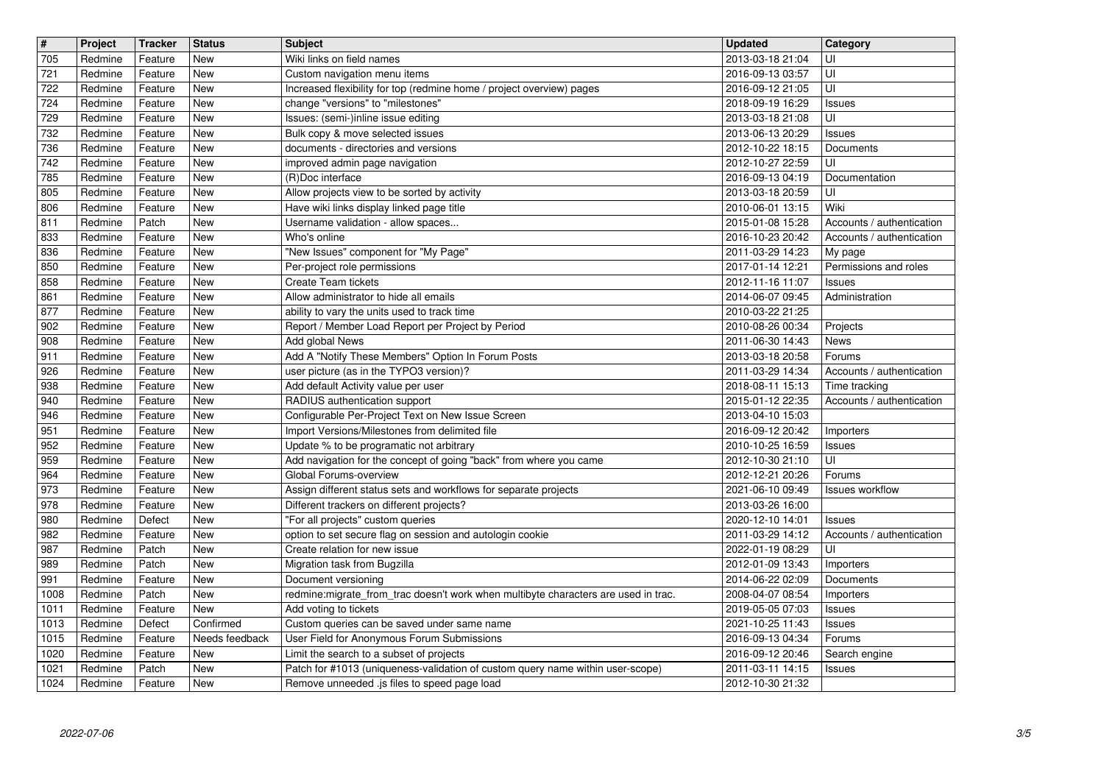| $\overline{\mathbf{H}}$ | Project            | <b>Tracker</b>     | <b>Status</b>               | <b>Subject</b>                                                                                                                 | <b>Updated</b>                       | Category                             |
|-------------------------|--------------------|--------------------|-----------------------------|--------------------------------------------------------------------------------------------------------------------------------|--------------------------------------|--------------------------------------|
| 705<br>721              | Redmine<br>Redmine | Feature<br>Feature | New<br>New                  | Wiki links on field names<br>Custom navigation menu items                                                                      | 2013-03-18 21:04<br>2016-09-13 03:57 | UI<br>UI                             |
| 722                     | Redmine            | Feature            | <b>New</b><br><b>New</b>    | Increased flexibility for top (redmine home / project overview) pages                                                          | 2016-09-12 21:05                     | UI                                   |
| 724<br>729              | Redmine<br>Redmine | Feature<br>Feature | New                         | change "versions" to "milestones"<br>Issues: (semi-)inline issue editing                                                       | 2018-09-19 16:29<br>2013-03-18 21:08 | <b>Issues</b><br>UI                  |
| 732                     | Redmine            | Feature            | New                         | Bulk copy & move selected issues                                                                                               | 2013-06-13 20:29                     | Issues                               |
| 736<br>742              | Redmine<br>Redmine | Feature<br>Feature | <b>New</b><br><b>New</b>    | documents - directories and versions<br>improved admin page navigation                                                         | 2012-10-22 18:15<br>2012-10-27 22:59 | Documents<br>UI                      |
| 785                     | Redmine            | Feature            | New                         | (R)Doc interface                                                                                                               | 2016-09-13 04:19                     | Documentation                        |
| 805<br>806              | Redmine<br>Redmine | Feature<br>Feature | <b>New</b><br><b>New</b>    | Allow projects view to be sorted by activity<br>Have wiki links display linked page title                                      | 2013-03-18 20:59<br>2010-06-01 13:15 | UI<br>Wiki                           |
| 811                     | Redmine            | Patch              | <b>New</b>                  | Username validation - allow spaces                                                                                             | 2015-01-08 15:28                     | Accounts / authentication            |
| 833<br>836              | Redmine<br>Redmine | Feature<br>Feature | <b>New</b><br><b>New</b>    | Who's online<br>"New Issues" component for "My Page"                                                                           | 2016-10-23 20:42<br>2011-03-29 14:23 | Accounts / authentication<br>My page |
| 850                     | Redmine            | Feature            | <b>New</b><br>New           | Per-project role permissions                                                                                                   | 2017-01-14 12:21                     | Permissions and roles                |
| 858<br>861              | Redmine<br>Redmine | Feature<br>Feature | New                         | Create Team tickets<br>Allow administrator to hide all emails                                                                  | 2012-11-16 11:07<br>2014-06-07 09:45 | <b>Issues</b><br>Administration      |
| 877                     | Redmine            | Feature            | <b>New</b>                  | ability to vary the units used to track time                                                                                   | 2010-03-22 21:25                     |                                      |
| 902<br>908              | Redmine<br>Redmine | Feature<br>Feature | New<br>New                  | Report / Member Load Report per Project by Period<br>Add global News                                                           | 2010-08-26 00:34<br>2011-06-30 14:43 | Projects<br><b>News</b>              |
| 911<br>926              | Redmine<br>Redmine | Feature<br>Feature | <b>New</b><br>New           | Add A "Notify These Members" Option In Forum Posts<br>user picture (as in the TYPO3 version)?                                  | 2013-03-18 20:58<br>2011-03-29 14:34 | Forums<br>Accounts / authentication  |
| 938                     | Redmine            | Feature            | <b>New</b>                  | Add default Activity value per user                                                                                            | 2018-08-11 15:13                     | Time tracking                        |
| 940<br>946              | Redmine<br>Redmine | Feature<br>Feature | New<br>New                  | RADIUS authentication support<br>Configurable Per-Project Text on New Issue Screen                                             | 2015-01-12 22:35<br>2013-04-10 15:03 | Accounts / authentication            |
| 951                     | Redmine            | Feature            | <b>New</b>                  | Import Versions/Milestones from delimited file                                                                                 | 2016-09-12 20:42                     | Importers                            |
| 952<br>959              | Redmine<br>Redmine | Feature<br>Feature | New<br>New                  | Update % to be programatic not arbitrary<br>Add navigation for the concept of going "back" from where you came                 | 2010-10-25 16:59<br>2012-10-30 21:10 | <b>Issues</b><br>UI                  |
| 964                     | Redmine            | Feature            | <b>New</b>                  | Global Forums-overview                                                                                                         | 2012-12-21 20:26                     | Forums                               |
| 973<br>978              | Redmine<br>Redmine | Feature<br>Feature | <b>New</b><br><b>New</b>    | Assign different status sets and workflows for separate projects<br>Different trackers on different projects?                  | 2021-06-10 09:49<br>2013-03-26 16:00 | Issues workflow                      |
| 980                     | Redmine            | Defect             | <b>New</b>                  | "For all projects" custom queries                                                                                              | 2020-12-10 14:01                     | <b>Issues</b>                        |
| 982<br>987              | Redmine<br>Redmine | Feature<br>Patch   | New<br>New                  | option to set secure flag on session and autologin cookie<br>Create relation for new issue                                     | 2011-03-29 14:12<br>2022-01-19 08:29 | Accounts / authentication<br>UI      |
| 989                     | Redmine            | Patch              | New                         | Migration task from Bugzilla                                                                                                   | 2012-01-09 13:43                     | Importers                            |
| 991<br>1008             | Redmine<br>Redmine | Feature<br>Patch   | New<br>New                  | Document versioning<br>redmine:migrate_from_trac doesn't work when multibyte characters are used in trac.                      | 2014-06-22 02:09<br>2008-04-07 08:54 | Documents<br>Importers               |
| 1011                    | Redmine            | Feature            | New                         | Add voting to tickets                                                                                                          | 2019-05-05 07:03                     | <b>Issues</b>                        |
| 1013<br>1015            | Redmine<br>Redmine | Defect<br>Feature  | Confirmed<br>Needs feedback | Custom queries can be saved under same name<br>User Field for Anonymous Forum Submissions                                      | 2021-10-25 11:43<br>2016-09-13 04:34 | Issues<br>Forums                     |
| 1020                    | Redmine            | Feature            | New                         | Limit the search to a subset of projects                                                                                       | 2016-09-12 20:46                     | Search engine                        |
| 1021<br>1024            | Redmine<br>Redmine | Patch<br>Feature   | New<br>New                  | Patch for #1013 (uniqueness-validation of custom query name within user-scope)<br>Remove unneeded .js files to speed page load | 2011-03-11 14:15<br>2012-10-30 21:32 | <b>Issues</b>                        |
|                         |                    |                    |                             |                                                                                                                                |                                      |                                      |
|                         |                    |                    |                             |                                                                                                                                |                                      |                                      |
|                         |                    |                    |                             |                                                                                                                                |                                      |                                      |
|                         |                    |                    |                             |                                                                                                                                |                                      |                                      |
|                         |                    |                    |                             |                                                                                                                                |                                      |                                      |
|                         |                    |                    |                             |                                                                                                                                |                                      |                                      |
|                         |                    |                    |                             |                                                                                                                                |                                      |                                      |
|                         |                    |                    |                             |                                                                                                                                |                                      |                                      |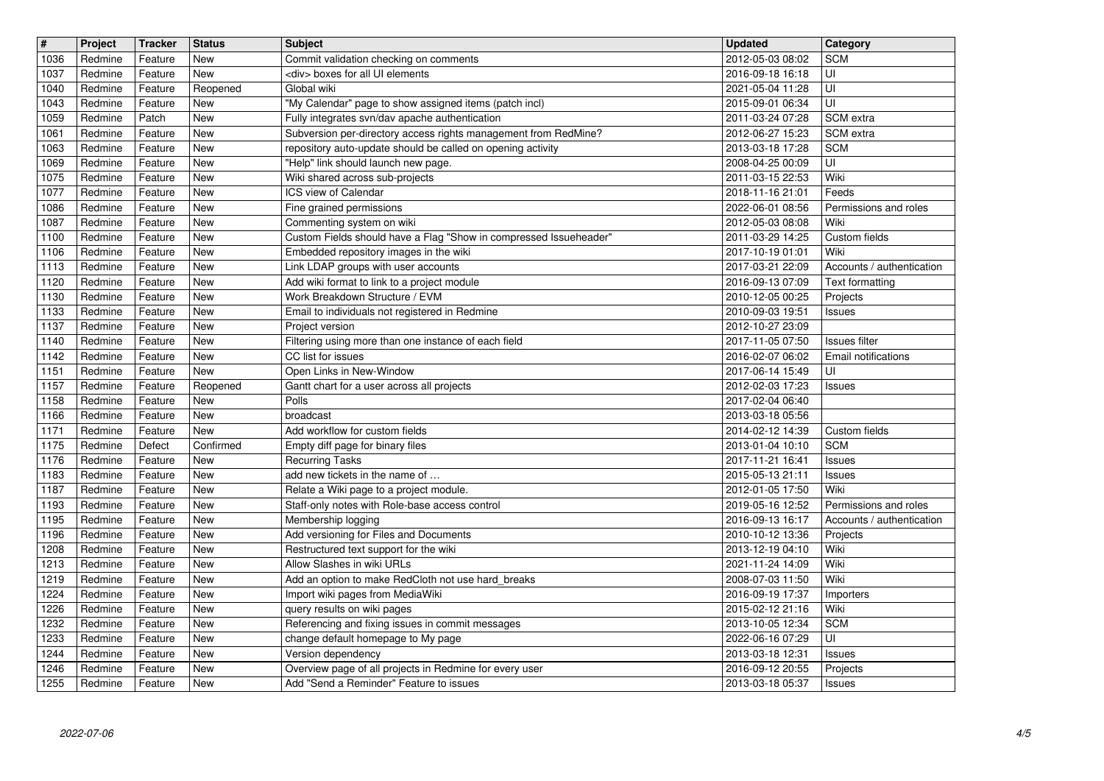|              | Project            | <b>Tracker</b>     | <b>Status</b>            | <b>Subject</b>                                                                                           | <b>Updated</b>                       | Category                             |
|--------------|--------------------|--------------------|--------------------------|----------------------------------------------------------------------------------------------------------|--------------------------------------|--------------------------------------|
| 1036<br>1037 | Redmine<br>Redmine | Feature<br>Feature | New<br><b>New</b>        | Commit validation checking on comments<br><div> boxes for all UI elements</div>                          | 2012-05-03 08:02<br>2016-09-18 16:18 | <b>SCM</b><br>UI                     |
| 1040         | Redmine            | Feature            | Reopened                 | Global wiki                                                                                              | 2021-05-04 11:28                     | UI                                   |
| 1043<br>1059 | Redmine<br>Redmine | Feature<br>Patch   | New<br>New               | "My Calendar" page to show assigned items (patch incl)<br>Fully integrates svn/dav apache authentication | 2015-09-01 06:34<br>2011-03-24 07:28 | UI<br>SCM extra                      |
| 1061         | Redmine            | Feature            | <b>New</b>               | Subversion per-directory access rights management from RedMine?                                          | 2012-06-27 15:23                     | SCM extra                            |
| 1063<br>1069 | Redmine<br>Redmine | Feature<br>Feature | New<br>New               | repository auto-update should be called on opening activity<br>"Help" link should launch new page.       | 2013-03-18 17:28<br>2008-04-25 00:09 | <b>SCM</b><br>UI                     |
| 1075         | Redmine            | Feature            | New                      | Wiki shared across sub-projects                                                                          | 2011-03-15 22:53                     | Wiki                                 |
| 1077<br>1086 | Redmine<br>Redmine | Feature<br>Feature | New<br><b>New</b>        | ICS view of Calendar<br>Fine grained permissions                                                         | 2018-11-16 21:01<br>2022-06-01 08:56 | Feeds<br>Permissions and roles       |
| 1087         | Redmine            | Feature            | <b>New</b>               | Commenting system on wiki                                                                                | 2012-05-03 08:08                     | Wiki                                 |
| 1100         | Redmine            | Feature            | New                      | Custom Fields should have a Flag "Show in compressed Issueheader"                                        | 2011-03-29 14:25                     | Custom fields                        |
| 1106<br>1113 | Redmine<br>Redmine | Feature<br>Feature | New<br>New               | Embedded repository images in the wiki<br>Link LDAP groups with user accounts                            | 2017-10-19 01:01<br>2017-03-21 22:09 | Wiki<br>Accounts / authentication    |
| 1120         | Redmine            | Feature            | New                      | Add wiki format to link to a project module                                                              | 2016-09-13 07:09                     | Text formatting                      |
| 1130<br>1133 | Redmine<br>Redmine | Feature<br>Feature | New<br><b>New</b>        | Work Breakdown Structure / EVM<br>Email to individuals not registered in Redmine                         | 2010-12-05 00:25<br>2010-09-03 19:51 | Projects<br><b>Issues</b>            |
| 1137         | Redmine            | Feature            | New                      | Project version                                                                                          | 2012-10-27 23:09                     |                                      |
| 1140<br>1142 | Redmine<br>Redmine | Feature<br>Feature | New<br><b>New</b>        | Filtering using more than one instance of each field<br>CC list for issues                               | 2017-11-05 07:50<br>2016-02-07 06:02 | Issues filter<br>Email notifications |
| 1151         | Redmine            | Feature            | New                      | Open Links in New-Window                                                                                 | 2017-06-14 15:49                     | UI                                   |
| 1157<br>1158 | Redmine<br>Redmine | Feature<br>Feature | Reopened<br>New          | Gantt chart for a user across all projects<br>Polls                                                      | 2012-02-03 17:23<br>2017-02-04 06:40 | <b>Issues</b>                        |
| 1166         | Redmine            | Feature            | New                      | broadcast                                                                                                | 2013-03-18 05:56                     |                                      |
| 1171<br>1175 | Redmine<br>Redmine | Feature<br>Defect  | New<br>Confirmed         | Add workflow for custom fields<br>Empty diff page for binary files                                       | 2014-02-12 14:39<br>2013-01-04 10:10 | Custom fields<br><b>SCM</b>          |
| 1176         | Redmine            | Feature            | <b>New</b>               | <b>Recurring Tasks</b>                                                                                   | 2017-11-21 16:41                     | <b>Issues</b>                        |
| 1183<br>1187 | Redmine<br>Redmine | Feature<br>Feature | <b>New</b><br><b>New</b> | add new tickets in the name of<br>Relate a Wiki page to a project module.                                | 2015-05-13 21:11<br>2012-01-05 17:50 | <b>Issues</b><br>Wiki                |
| 1193         | Redmine            | Feature            | New                      | Staff-only notes with Role-base access control                                                           | 2019-05-16 12:52                     | Permissions and roles                |
| 1195<br>1196 | Redmine<br>Redmine | Feature<br>Feature | New<br>New               | Membership logging<br>Add versioning for Files and Documents                                             | 2016-09-13 16:17<br>2010-10-12 13:36 | Accounts / authentication            |
| 1208         | Redmine            | Feature            | New                      | Restructured text support for the wiki                                                                   | 2013-12-19 04:10                     | Projects<br>Wiki                     |
| 1213         | Redmine            | Feature            | <b>New</b>               | Allow Slashes in wiki URLs                                                                               | 2021-11-24 14:09                     | Wiki                                 |
| 1219<br>1224 | Redmine<br>Redmine | Feature<br>Feature | <b>New</b><br>New        | Add an option to make RedCloth not use hard_breaks<br>Import wiki pages from MediaWiki                   | 2008-07-03 11:50<br>2016-09-19 17:37 | Wiki<br>Importers                    |
| 1226         | Redmine            | Feature            | New                      | query results on wiki pages                                                                              | 2015-02-12 21:16                     | Wiki                                 |
| 1232<br>1233 | Redmine<br>Redmine | Feature<br>Feature | <b>New</b><br>New        | Referencing and fixing issues in commit messages<br>change default homepage to My page                   | 2013-10-05 12:34<br>2022-06-16 07:29 | <b>SCM</b><br>UI                     |
| 1244         | Redmine            | Feature            | New                      | Version dependency                                                                                       | 2013-03-18 12:31                     | <b>Issues</b>                        |
| 1246<br>1255 | Redmine<br>Redmine | Feature<br>Feature | New<br>New               | Overview page of all projects in Redmine for every user<br>Add "Send a Reminder" Feature to issues       | 2016-09-12 20:55<br>2013-03-18 05:37 | Projects<br>Issues                   |
|              |                    |                    |                          |                                                                                                          |                                      |                                      |
|              |                    |                    |                          |                                                                                                          |                                      |                                      |
|              |                    |                    |                          |                                                                                                          |                                      |                                      |
|              |                    |                    |                          |                                                                                                          |                                      |                                      |
|              |                    |                    |                          |                                                                                                          |                                      |                                      |
|              |                    |                    |                          |                                                                                                          |                                      |                                      |
|              |                    |                    |                          |                                                                                                          |                                      |                                      |